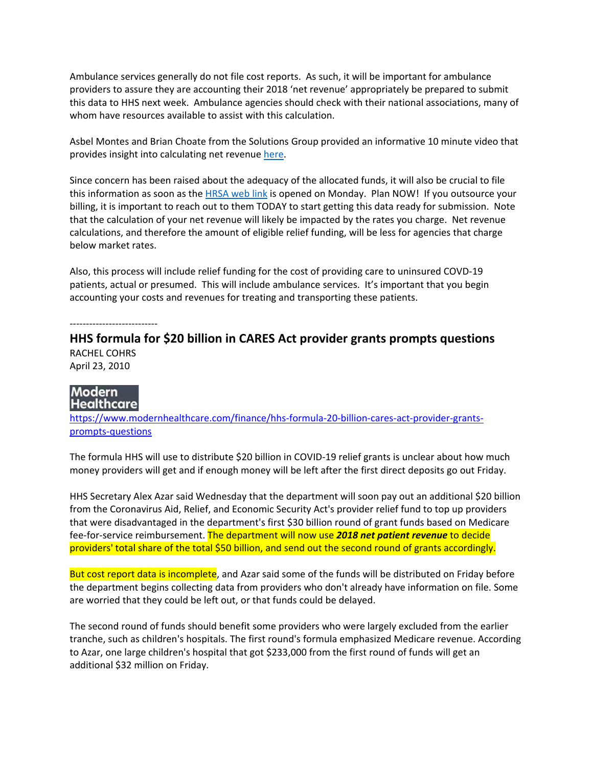Ambulance services generally do not file cost reports. As such, it will be important for ambulance providers to assure they are accounting their 2018 'net revenue' appropriately be prepared to submit this data to HHS next week. Ambulance agencies should check with their national associations, many of whom have resources available to assist with this calculation.

Asbel Montes and Brian Choate from the Solutions Group provided an informative 10 minute video that provides insight into calculating net revenue here.

Since concern has been raised about the adequacy of the allocated funds, it will also be crucial to file this information as soon as the HRSA web link is opened on Monday. Plan NOW! If you outsource your billing, it is important to reach out to them TODAY to start getting this data ready for submission. Note that the calculation of your net revenue will likely be impacted by the rates you charge. Net revenue calculations, and therefore the amount of eligible relief funding, will be less for agencies that charge below market rates.

Also, this process will include relief funding for the cost of providing care to uninsured COVD‐19 patients, actual or presumed. This will include ambulance services. It's important that you begin accounting your costs and revenues for treating and transporting these patients.

‐‐‐‐‐‐‐‐‐‐‐‐‐‐‐‐‐‐‐‐‐‐‐‐‐‐‐

## **HHS formula for \$20 billion in CARES Act provider grants prompts questions** RACHEL COHRS April 23, 2010



https://www.modernhealthcare.com/finance/hhs‐formula‐20‐billion‐cares‐act‐provider‐grants‐ prompts‐questions

The formula HHS will use to distribute \$20 billion in COVID-19 relief grants is unclear about how much money providers will get and if enough money will be left after the first direct deposits go out Friday.

HHS Secretary Alex Azar said Wednesday that the department will soon pay out an additional \$20 billion from the Coronavirus Aid, Relief, and Economic Security Act's provider relief fund to top up providers that were disadvantaged in the department's first \$30 billion round of grant funds based on Medicare fee‐for‐service reimbursement. The department will now use *2018 net patient revenue* to decide providers' total share of the total \$50 billion, and send out the second round of grants accordingly.

But cost report data is incomplete, and Azar said some of the funds will be distributed on Friday before the department begins collecting data from providers who don't already have information on file. Some are worried that they could be left out, or that funds could be delayed.

The second round of funds should benefit some providers who were largely excluded from the earlier tranche, such as children's hospitals. The first round's formula emphasized Medicare revenue. According to Azar, one large children's hospital that got \$233,000 from the first round of funds will get an additional \$32 million on Friday.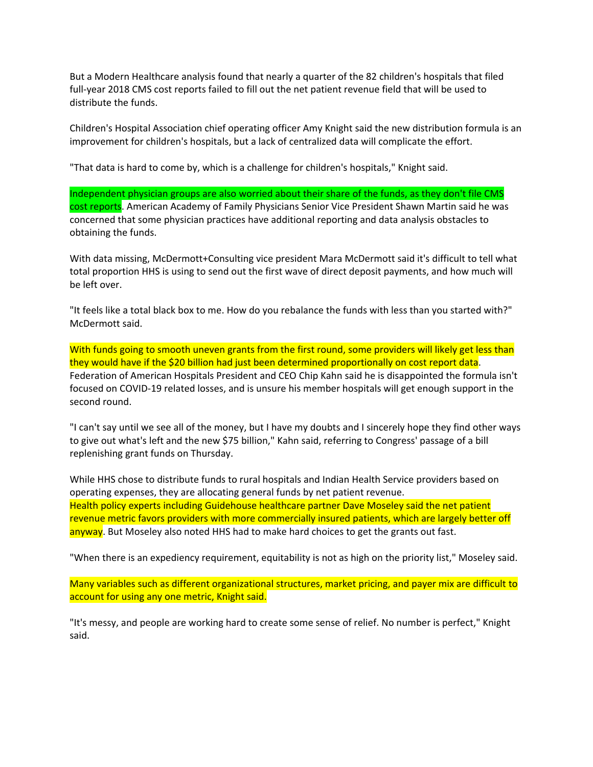But a Modern Healthcare analysis found that nearly a quarter of the 82 children's hospitals that filed full-year 2018 CMS cost reports failed to fill out the net patient revenue field that will be used to distribute the funds.

Children's Hospital Association chief operating officer Amy Knight said the new distribution formula is an improvement for children's hospitals, but a lack of centralized data will complicate the effort.

"That data is hard to come by, which is a challenge for children's hospitals," Knight said.

Independent physician groups are also worried about their share of the funds, as they don't file CMS cost reports. American Academy of Family Physicians Senior Vice President Shawn Martin said he was concerned that some physician practices have additional reporting and data analysis obstacles to obtaining the funds.

With data missing, McDermott+Consulting vice president Mara McDermott said it's difficult to tell what total proportion HHS is using to send out the first wave of direct deposit payments, and how much will be left over.

"It feels like a total black box to me. How do you rebalance the funds with less than you started with?" McDermott said.

With funds going to smooth uneven grants from the first round, some providers will likely get less than they would have if the \$20 billion had just been determined proportionally on cost report data. Federation of American Hospitals President and CEO Chip Kahn said he is disappointed the formula isn't focused on COVID‐19 related losses, and is unsure his member hospitals will get enough support in the second round.

"I can't say until we see all of the money, but I have my doubts and I sincerely hope they find other ways to give out what's left and the new \$75 billion," Kahn said, referring to Congress' passage of a bill replenishing grant funds on Thursday.

While HHS chose to distribute funds to rural hospitals and Indian Health Service providers based on operating expenses, they are allocating general funds by net patient revenue. Health policy experts including Guidehouse healthcare partner Dave Moseley said the net patient revenue metric favors providers with more commercially insured patients, which are largely better off anyway. But Moseley also noted HHS had to make hard choices to get the grants out fast.

"When there is an expediency requirement, equitability is not as high on the priority list," Moseley said.

Many variables such as different organizational structures, market pricing, and payer mix are difficult to account for using any one metric, Knight said.

"It's messy, and people are working hard to create some sense of relief. No number is perfect," Knight said.